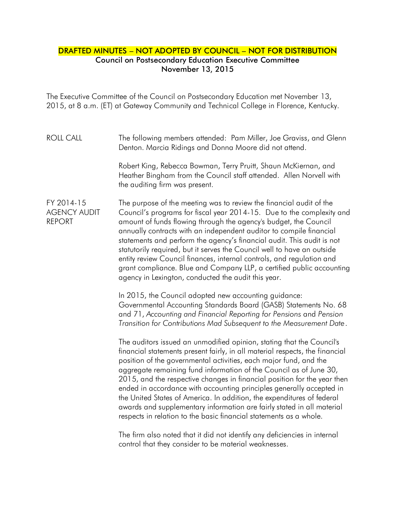## DRAFTED MINUTES – NOT ADOPTED BY COUNCIL – NOT FOR DISTRIBUTION Council on Postsecondary Education Executive Committee November 13, 2015

The Executive Committee of the Council on Postsecondary Education met November 13, 2015, at 8 a.m. (ET) at Gateway Community and Technical College in Florence, Kentucky.

## ROLL CALL The following members attended: Pam Miller, Joe Graviss, and Glenn Denton. Marcia Ridings and Donna Moore did not attend.

Robert King, Rebecca Bowman, Terry Pruitt, Shaun McKiernan, and Heather Bingham from the Council staff attended. Allen Norvell with the auditing firm was present.

## FY 2014-15 AGENCY AUDIT REPORT The purpose of the meeting was to review the financial audit of the Council's programs for fiscal year 2014-15. Due to the complexity and amount of funds flowing through the agency's budget, the Council annually contracts with an independent auditor to compile financial statements and perform the agency's financial audit. This audit is not statutorily required, but it serves the Council well to have an outside entity review Council finances, internal controls, and regulation and grant compliance. Blue and Company LLP, a certified public accounting agency in Lexington, conducted the audit this year.

In 2015, the Council adopted new accounting guidance: Governmental Accounting Standards Board (GASB) Statements No. 68 and 71, *Accounting and Financial Reporting for Pensions* and *Pension Transition for Contributions Mad Subsequent to the Measurement Date*.

The auditors issued an unmodified opinion, stating that the Council's financial statements present fairly, in all material respects, the financial position of the governmental activities, each major fund, and the aggregate remaining fund information of the Council as of June 30, 2015, and the respective changes in financial position for the year then ended in accordance with accounting principles generally accepted in the United States of America. In addition, the expenditures of federal awards and supplementary information are fairly stated in all material respects in relation to the basic financial statements as a whole.

The firm also noted that it did not identify any deficiencies in internal control that they consider to be material weaknesses.